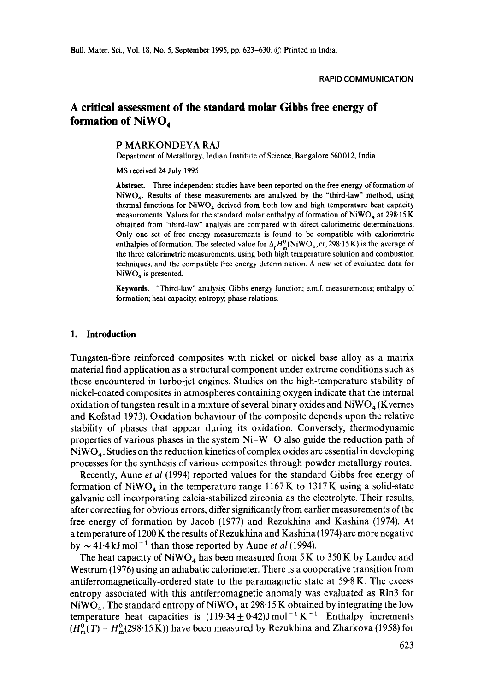# **A critical assessment of the standard molar Gibbs free energy of**  formation of NiWO<sub>4</sub>

### **P** MARKONDEYA RAJ

Department of Metallurgy, Indian Institute of Science, Bangalore 560 012, India

MS received 24 July 1995

**Abstract.** Three independent studies have been reported on the free energy of formation of  $NiWO<sub>4</sub>$ . Results of these measurements are analyzed by the "third-law" method, using thermal functions for  $NiWO<sub>4</sub>$  derived from both low and high temperature heat capacity measurements. Values for the standard molar enthalpy of formation of  $NiWO<sub>4</sub>$  at 298.15 K obtained from "'third-law" analysis are compared with direct calorimetric determinations. Only one set of free energy measurements is found to be compatible with calorimetric enthalpies of formation. The selected value for  $\Delta_f H_{\text{m}}^0(NiWO_4, cr, 298.15 K)$  is the average of the three calorimetric measurements, using both high temperature solution and combustion techniques, and the compatible free energy determination. A new set of evaluated data for  $NiWO<sub>4</sub>$  is presented.

**Keywords.** "Third-law" analysis; Gibbs energy function; e.m.f, measurements; enthalpy of formation; heat capacity; entropy; phase relations.

#### **1. Introduction**

Tungsten-fibre reinforced composites with nickel or nickel base alloy as a matrix material find application as a structural component under extreme conditions such as those encountered in turbo-jet engines. Studies on the high-temperature stability of nickel-coated composites in atmospheres containing oxygen indicate that the internal oxidation of tungsten result in a mixture of several binary oxides and  $NiWO<sub>a</sub>$  (Kvernes and Kofstad 1973). Oxidation behaviour of the composite depends upon the relative stability of phases that appear during its oxidation. Conversely, thermodynamic properties of various phases in the system Ni-W-O also guide the reduction path of  $NiWO<sub>4</sub>$ . Studies on the reduction kinetics of complex oxides are essential in developing processes for the synthesis of various composites through powder metallurgy routes.

Recently, Aune *et al* (1994) reported values for the standard Gibbs free energy of formation of NiWO<sub>4</sub> in the temperature range 1167 K to 1317 K using a solid-state galvanic cell incorporating calcia-stabilized zirconia as the electrolyte. Their results, after correcting for obvious errors, differ significantly from earlier measurements of the free energy of formation by Jacob (1977) and Rezukhina and Kashina (1974). At a temperature of 1200 K the results of Rezukhina and Kashina (1974) are more negative by  $\sim$  41.4 kJ mol<sup>-1</sup> than those reported by Aune *et al* (1994).

The heat capacity of NiWO<sub>4</sub> has been measured from 5 K to 350 K by Landee and Westrum (1976) using an adiabatic calorimeter. There is a cooperative transition from antiferromagnetically-ordered state to the paramagnetic state at 59.8 K. The excess entropy associated with this antiferromagnetic anomaly was evaluated as Rln3 for NiWO<sub>4</sub>. The standard entropy of NiWO<sub>4</sub> at 298.15 K obtained by integrating the low temperature heat capacities is  $(119.34 \pm 0.42)$ J mol<sup>-1</sup> K<sup>-1</sup>. Enthalpy increments  $(H_m^0(T) - H_m^0(298.15 \text{ K}))$  have been measured by Rezukhina and Zharkova (1958) for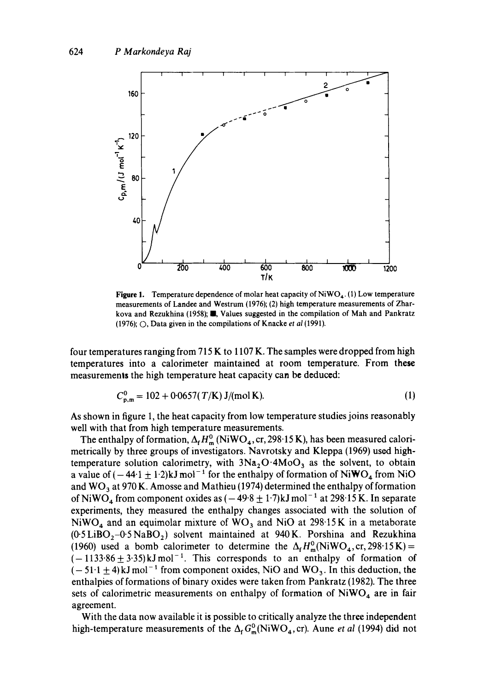

Figure 1. Temperature dependence of molar heat capacity of  $NiWO<sub>4</sub>$ . (1) Low temperature measurements of Landee and Westrum (1976); (2) high temperature measurements of Zharkova and Rezukhina (1958); **II**, Values suggested in the compilation of Mah and Pankratz (1976); O, Data given in the compilations of Knacke *et al* (1991).

four temperatures ranging from 715 K to 1107 K. The samples were dropped from high temperatures into a calorimeter maintained at room temperature. From these measurements the high temperature heat capacity can be deduced:

$$
C_{n,m}^0 = 102 + 0.0657(T/K) \text{ J/(mol K)}.
$$
 (1)

As shown in figure 1, the heat capacity from low temperature studies joins reasonably well with that from high temperature measurements.

The enthalpy of formation,  $\Delta_f H_m^0$  (NiWO<sub>4</sub>, cr, 298.15 K), has been measured calorimetrically by three groups of investigators. Navrotsky and Kleppa (1969) used hightemperature solution calorimetry, with  $3Na<sub>2</sub>O·4MoO<sub>3</sub>$  as the solvent, to obtain a value of  $(-44.1 \pm 1.2)$ kJ mol<sup>-1</sup> for the enthalpy of formation of NiWO<sub>4</sub> from NiO and  $WO_3$  at 970 K. Amosse and Mathieu (1974) determined the enthalpy of formation of NiWO<sub>4</sub> from component oxides as  $(-49.8 \pm 1.7)$ kJ mol<sup>-1</sup> at 298.15 K. In separate experiments, they measured the enthalpy changes associated with the solution of NiWO<sub>4</sub> and an equimolar mixture of WO<sub>3</sub> and NiO at 298.15K in a metaborate  $(0.5LiBO<sub>2</sub>-0.5NaBO<sub>2</sub>)$  solvent maintained at 940 K. Porshina and Rezukhina (1960) used a bomb calorimeter to determine the  $\Delta_f H_m^0(NiWO_4, cr, 298.15 K)$  =  $(-1133.86 \pm 3.35)$ kJmol<sup>-1</sup>. This corresponds to an enthalpy of formation of  $(-51.1 \pm 4)$ kJ mol<sup>-1</sup> from component oxides, NiO and WO<sub>3</sub>. In this deduction, the enthalpies of formations of binary oxides were taken from Pankratz (1982). The three sets of calorimetric measurements on enthalpy of formation of  $NiWO<sub>4</sub>$  are in fair agreement.

With the data now available it is possible to critically analyze the three independent high-temperature measurements of the  $\Delta_f G_m^0(NiWO_4, cr)$ . Aune *et al* (1994) did not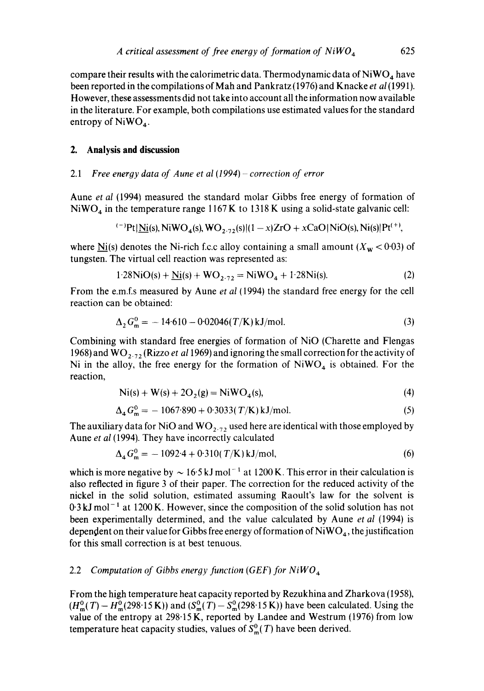compare their results with the calorimetric data. Thermodynamic data of  $NiWO<sub>4</sub>$  have been reported in the compilations of Mah and Pankratz (1976) and Knacke *et al* (1991). However, these assessments did not take into account all the information now available in the literature. For example, both compilations use estimated values for the standard entropy of  $NiWO<sub>4</sub>$ .

### **2. Analysis and discussion**

#### 2.1 *Free energy data of Aune et al (1994) - correction of error*

Aune *et al* (1994) measured the standard molar Gibbs free energy of formation of  $NiWO<sub>4</sub>$  in the temperature range 1167 K to 1318 K using a solid-state galvanic cell:

i-)pt INi(s), NiWO4(s), WO2.Tz(S) l(1 - x)ZrO + xCaO I NiO(s), Ni(s)[P( + ~,

where  $N_i(s)$  denotes the Ni-rich f.c.c alloy containing a small amount  $(X_w < 0.03)$  of tungsten. The virtual cell reaction was represented as:

$$
1.28NiO(s) + Ni(s) + WO_{2.72} = NiWO_4 + 1.28Ni(s).
$$
 (2)

From the e.m.f.s measured by Aune *et al* (1994) the standard free energy for the cell reaction can be obtained:

$$
\Delta_2 G_{\rm m}^0 = -14.610 - 0.02046(T/K) \,\text{kJ/mol}.\tag{3}
$$

Combining with standard free energies of formation of NiO (Charette and Flengas 1968) and WO<sub>2.72</sub> (Rizzo *et al* 1969) and ignoring the small correction for the activity of Ni in the alloy, the free energy for the formation of  $NiWO<sub>4</sub>$  is obtained. For the reaction,

$$
Ni(s) + W(s) + 2O_2(g) = NiWO_4(s),
$$
\n(4)

$$
\Delta_4 G_{\rm m}^0 = -1067.890 + 0.3033(T/K) \,\text{kJ/mol}.\tag{5}
$$

The auxiliary data for NiO and  $WO_{2.72}$  used here are identical with those employed by Aune *et al* (1994). They have incorrectly calculated

$$
\Delta_4 G_{\rm m}^0 = -1092.4 + 0.310(T/K) \,\text{kJ/mol},\tag{6}
$$

which is more negative by  $\sim 16.5 \text{ kJ}$  mol<sup>-1</sup> at 1200 K. This error in their calculation is also reflected in figure 3 of their paper. The correction for the reduced activity of the nickel in the solid solution, estimated assuming Raoult's law for the solvent is  $0.3 \text{ kJ}$  mol<sup>-1</sup> at 1200 K. However, since the composition of the solid solution has not been experimentally determined, and the value calculated by Aune *et al* (1994) is dependent on their value for Gibbs free energy of formation of  $NiWO<sub>4</sub>$ , the justification for this small correction is at best tenuous.

### 2.2 *Computation of Gibbs energy function (GEF) for NiWO 4*

From the high temperature heat capacity reported by Rezukhina and Zharkova (1958),  $(H_m^0(T) - H_m^0(298.15 \text{ K}))$  and  $(S_m^0(T) - S_m^0(298.15 \text{ K}))$  have been calculated. Using the value of the entropy at 298.15 K, reported by Landee and Westrum (1976) from low temperature heat capacity studies, values of  $S_m^0(T)$  have been derived.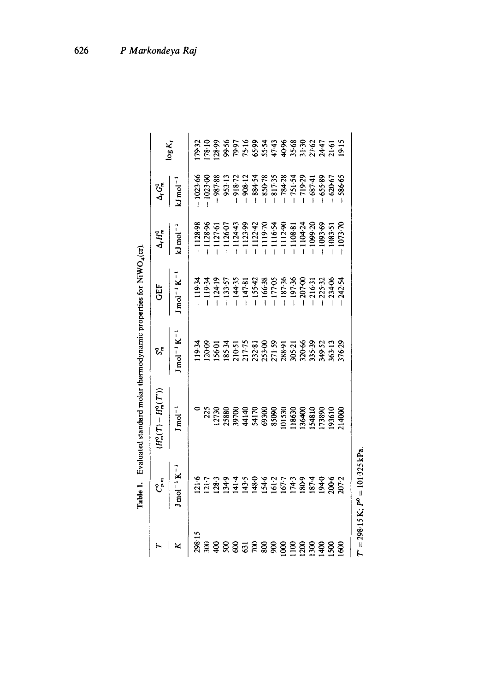|                 | ್ಕ್ಟೆ                                                 | $H^0_{\frak m}(T)-H^0_{\frak m}(T^{\prime}))$ | ್ರೈ              | GEF                                                                                                                                                                                                                                                                                                                     | $\Delta_{\rm f} H_{\rm m}^{\rm o}$                                                                                                                                                                                                                                                                                    | $\Delta G_{\pi}^{0}$                                                                                    |                     |
|-----------------|-------------------------------------------------------|-----------------------------------------------|------------------|-------------------------------------------------------------------------------------------------------------------------------------------------------------------------------------------------------------------------------------------------------------------------------------------------------------------------|-----------------------------------------------------------------------------------------------------------------------------------------------------------------------------------------------------------------------------------------------------------------------------------------------------------------------|---------------------------------------------------------------------------------------------------------|---------------------|
|                 | $1 \text{ mol}^{-1} \text{ K}^{-1}$                   | $J/mol^{-1}$                                  | $mol^{-1}K^{-1}$ | $1 \text{ mol}^{-1} \text{ K}^{-1}$                                                                                                                                                                                                                                                                                     | $1 \text{ mol}^{-1}$                                                                                                                                                                                                                                                                                                  | $J \mod^{-1}$                                                                                           | $log K_i$           |
| 298.15          |                                                       |                                               |                  |                                                                                                                                                                                                                                                                                                                         |                                                                                                                                                                                                                                                                                                                       | 1023.66                                                                                                 | 79.32               |
|                 | $\frac{21.6}{21.7}$                                   | 225                                           |                  | - 119-34<br>- 119-34<br>- 124-19                                                                                                                                                                                                                                                                                        | 1128-98<br>1128-96                                                                                                                                                                                                                                                                                                    | $1023 \, \text{K}$                                                                                      |                     |
|                 | 128.3                                                 |                                               |                  |                                                                                                                                                                                                                                                                                                                         | 1127.61                                                                                                                                                                                                                                                                                                               | $-987.88 -$                                                                                             |                     |
| 8               |                                                       |                                               |                  |                                                                                                                                                                                                                                                                                                                         |                                                                                                                                                                                                                                                                                                                       |                                                                                                         |                     |
| g               |                                                       |                                               |                  |                                                                                                                                                                                                                                                                                                                         |                                                                                                                                                                                                                                                                                                                       | $-953.13$<br>$-918.72$                                                                                  |                     |
| 53              |                                                       |                                               |                  |                                                                                                                                                                                                                                                                                                                         |                                                                                                                                                                                                                                                                                                                       | $-908-12$                                                                                               |                     |
| ξ               | 1345<br>1455 0245<br>1455 1455 1459<br>1450 1459 1459 |                                               |                  | $\begin{array}{r} 133.57 \\ -133.53 \\ -144.35 \\ -155.42 \\ -155.43 \\ -17.69 \\ -17.69 \\ -17.69 \\ -187.36 \\ -197.36 \\ -207.32 \\ -123.46 \\ -123.49 \\ -123.49 \\ -123.49 \\ -123.49 \\ -123.49 \\ -123.49 \\ -123.49 \\ -123.49 \\ -123.49 \\ -123.49 \\ -123.49 \\ -123.49 \\ -123.49 \\ -123.49 \\ -123.49 \\$ | $\begin{array}{l} 0.1267 \\ -112443 \\ -112348 \\ -112342 \\ -112343 \\ -112443 \\ -112443 \\ -112443 \\ -112443 \\ -112443 \\ -112443 \\ -112443 \\ -112443 \\ -112443 \\ -103453 \\ -103453 \\ -103453 \\ -103453 \\ -103453 \\ -103453 \\ -103453 \\ -103453 \\ -103453 \\ -103453 \\ -103453 \\ -103453 \\ -1034$ |                                                                                                         | $28852874888747212$ |
|                 |                                                       |                                               |                  |                                                                                                                                                                                                                                                                                                                         |                                                                                                                                                                                                                                                                                                                       |                                                                                                         |                     |
| g               |                                                       |                                               |                  |                                                                                                                                                                                                                                                                                                                         |                                                                                                                                                                                                                                                                                                                       |                                                                                                         |                     |
| <u>ទ</u>        |                                                       |                                               |                  |                                                                                                                                                                                                                                                                                                                         |                                                                                                                                                                                                                                                                                                                       |                                                                                                         |                     |
| $\frac{100}{2}$ |                                                       |                                               |                  |                                                                                                                                                                                                                                                                                                                         |                                                                                                                                                                                                                                                                                                                       |                                                                                                         |                     |
| $^{1200}$       |                                                       |                                               |                  |                                                                                                                                                                                                                                                                                                                         |                                                                                                                                                                                                                                                                                                                       |                                                                                                         |                     |
| 1300            |                                                       |                                               |                  |                                                                                                                                                                                                                                                                                                                         |                                                                                                                                                                                                                                                                                                                       | 38434<br>- 850-78<br>- 850-787<br>- 871-787<br>- 880-89<br>- 880-89<br>- 880-89<br>- 880-89<br>- 880-89 |                     |
| $\frac{400}{2}$ |                                                       |                                               |                  |                                                                                                                                                                                                                                                                                                                         |                                                                                                                                                                                                                                                                                                                       |                                                                                                         |                     |
| Ş.              | 200 <sub>6</sub>                                      | 93610<br>014000                               |                  |                                                                                                                                                                                                                                                                                                                         |                                                                                                                                                                                                                                                                                                                       |                                                                                                         |                     |
| §               | 200 <sub>5</sub>                                      |                                               |                  |                                                                                                                                                                                                                                                                                                                         |                                                                                                                                                                                                                                                                                                                       |                                                                                                         |                     |

 $T' = 298.15 \text{ K}; P^0 = 101.325 \text{ kPa}.$  $T = 298.15 \text{ K}; P = 101.325 \text{ kPa}.$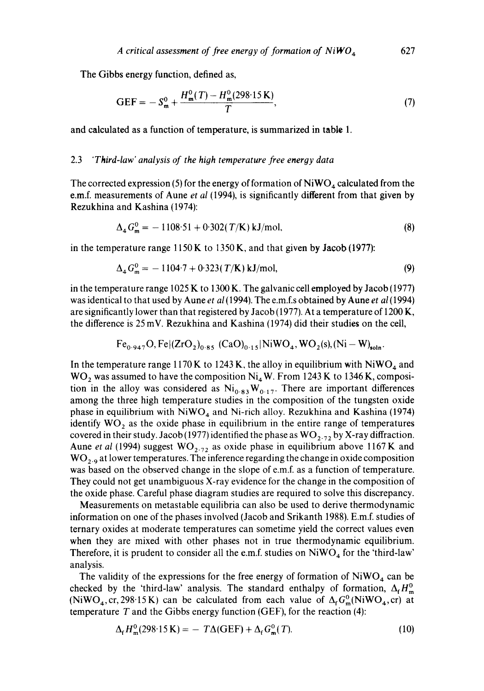The Gibbs energy function, defined as,

$$
GEF = -S_m^0 + \frac{H_m^0(T) - H_m^0(298.15 \text{ K})}{T},\tag{7}
$$

and calculated as a function of temperature, is summarized in table 1.

#### 2.3 *"Third-law' analysis of the hiyh temperature free energy data*

The corrected expression (5) for the energy of formation of  $NiWO_4$  calculated from the e.m.f, measurements of Aune *et al* (1994), is significantly different from that given by Rezukhina and Kashina (1974):

$$
\Delta_4 G_{\rm m}^0 = -1108.51 + 0.302(T/K) \,\text{kJ/mol},\tag{8}
$$

in the temperature range  $1150 K$  to 1350 K, and that given by Jacob (1977):

$$
\Delta_4 G_{\rm m}^0 = -1104.7 + 0.323(T/K) \, \text{kJ/mol},\tag{9}
$$

in the temperature range 1025 K to 1300 K. The galvanic cell employed by Jacob (1977) was identical to that used by Aune *et al* (1994). The e.m.f.s obtained by Aune *et al* (1994) are significantly lower than that registered by Jacob (1977). At a temperature of 1200 K, the difference is 25 mV. Rezukhina and Kashina (1974) did their studies on the cell,

$$
Fe_{0.947}O, Fe|(ZrO_2)_{0.85} (CaO)_{0.15} | NiWO_4, WO_2(s), (Ni-W)_{soln}
$$

In the temperature range 1170 K to 1243 K, the alloy in equilibrium with  $NiWO<sub>4</sub>$  and  $WO<sub>2</sub>$  was assumed to have the composition Ni<sub>4</sub>W. From 1243 K to 1346 K, composition in the alloy was considered as  $Ni<sub>0.83</sub>W<sub>0.17</sub>$ . There are important differences among the three high temperature studies in the composition of the tungsten oxide phase in equilibrium with  $NiWO<sub>4</sub>$  and Ni-rich alloy. Rezukhina and Kashina (1974) identify  $WO<sub>2</sub>$  as the oxide phase in equilibrium in the entire range of temperatures covered in their study. Jacob (1977) identified the phase as  $WO_{2.72}$  by X-ray diffraction. Aune *et al* (1994) suggest  $WO_{2.72}$  as oxide phase in equilibrium above 1167K and  $WO_{2.9}$  at lower temperatures. The inference regarding the change in oxide composition was based on the observed change in the slope of e.m.f. as a function of temperature. They could not get unambiguous X-ray evidence for the change in the composition of the oxide phase. Careful phase diagram studies are required to solve this discrepancy.

Measurements on metastable equilibria can also be used to derive thermodynamic information on one of the phases involved (Jacob and Srikanth 1988). E.m.f. studies of ternary oxides at moderate temperatures can sometime yield the correct values even when they are mixed with other phases not in true thermodynamic equilibrium. Therefore, it is prudent to consider all the e.m.f. studies on  $NiWO<sub>4</sub>$  for the 'third-law' analysis.

The validity of the expressions for the free energy of formation of  $NiWO<sub>4</sub>$  can be checked by the 'third-law' analysis. The standard enthalpy of formation,  $\Delta_f H_{\text{m}}^0$ (NiWO<sub>4</sub>, cr, 298.15 K) can be calculated from each value of  $\Delta_f G_m^0(NiWO_4, cr)$  at temperature  $T$  and the Gibbs energy function (GEF), for the reaction (4):

$$
\Delta_{\mathbf{f}} H_{\mathbf{m}}^0(298.15 \, \mathbf{K}) = -T\Delta(\mathbf{GEF}) + \Delta_{\mathbf{f}} G_{\mathbf{m}}^0(T). \tag{10}
$$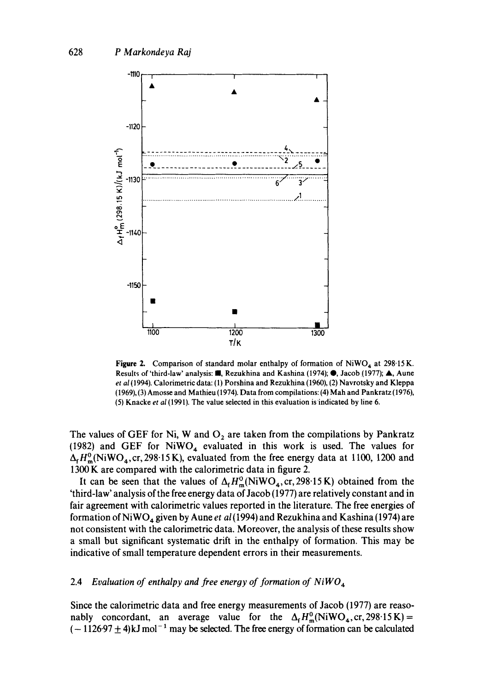

Figure 2. Comparison of standard molar enthalpy of formation of NiWO<sub>4</sub> at 298.15 K. Results of 'third-law' analysis: **II**, Rezukhina and Kashina (1974);  $\bullet$ , Jacob (1977); A, Aune *et al* (1994). Calorimetric data: (1) Porshina and Rezukhina (1960), (2) Navrotsky and Kleppa (1969), (3) Amosse and Mathieu (1974). Data from compilations: (4) Mah and Pankratz (1976), (5) Knacke *et al* (1991). The value selected in this evaluation isindicated by line 6.

The values of GEF for Ni, W and  $O_2$  are taken from the compilations by Pankratz (1982) and GEF for  $NiWO<sub>4</sub>$  evaluated in this work is used. The values for  $\Delta_f H_m^0(NiWO_4, cr, 298.15 K)$ , evaluated from the free energy data at 1100, 1200 and 1300 K are compared with the calorimetric data in figure 2.

It can be seen that the values of  $\Delta_f H_m^0(NiWO_4, cr, 298.15 K)$  obtained from the 'third-law' analysis of the free energy data of Jacob (1977) are relatively constant and in fair agreement with calorimetric values reported in the literature. The free energies of formation of NiWO 4 given by Aune *et al* (1994) and Rezukhina and Kashina (1974) are not consistent with the calorimetric data. Moreover, the analysis of these results show a small but significant systematic drift in the enthalpy of formation. This may be indicative of small temperature dependent errors in their measurements.

#### 2.4 *Evaluation of enthalpy and free energy of formation of NiWO 4*

Since the calorimetric data and free energy measurements of Jacob (1977) are reasonably concordant, an average value for the  $\Delta_f H_m^0(NiWO_4, cr, 298.15 K)$  =  $(-1126.97 \pm 4)$ kJ mol<sup>-1</sup> may be selected. The free energy of formation can be calculated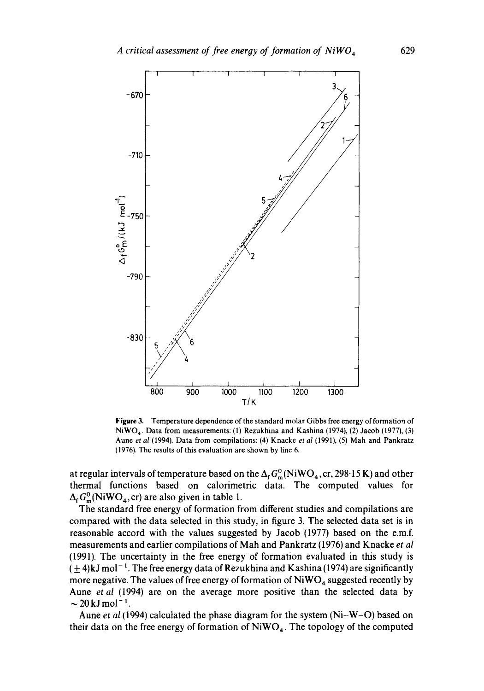

Figure 3. Temperature dependence of the standard molar Gibbs free energy of formation of NiWO<sub>4</sub>. Data from measurements: (1) Rezukhina and Kashina (1974), (2) Jacob (1977), (3) Aune *et al* (1994). Data from compilations: (4) Knacke *et al* (1991), (5) Mah and Pankratz 11976). The results of this evaluation are shown by line 6.

at regular intervals of temperature based on the  $\Delta_f G_m^0(NiWO_4, cr, 298.15 K)$  and other thermal functions based on calorimetric data. The computed values for  $\Delta_f G_m^0(NiWO_4, cr)$  are also given in table 1.

The standard free energy of formation from different studies and compilations are compared with the data selected in this study, in figure 3. The selected data set is in reasonable accord with the values suggested by Jacob (1977) based on the e.m.f. measurements and earlier compilations of Mah and Pankratz (1976) and Knacke *et al* (1991). The uncertainty in the free energy of formation evaluated in this study is  $(\pm 4)$ kJ mol<sup>-1</sup>. The free energy data of Rezukhina and Kashina (1974) are significantly more negative. The values of free energy of formation of  $NiWO<sub>4</sub>$  suggested recently by Aune *et al* (1994) are on the average more positive than the selected data by  $\sim$  20 kJ mol<sup>-1</sup>.

Aune *et al* (1994) calculated the phase diagram for the system (Ni-W-O) based on their data on the free energy of formation of  $NiWO<sub>4</sub>$ . The topology of the computed